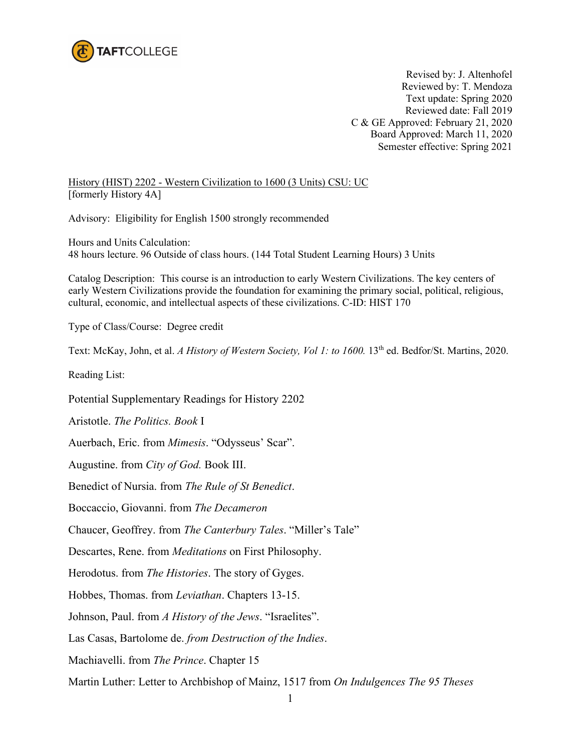

Revised by: J. Altenhofel Reviewed by: T. Mendoza Text update: Spring 2020 Reviewed date: Fall 2019 C & GE Approved: February 21, 2020 Board Approved: March 11, 2020 Semester effective: Spring 2021

History (HIST) 2202 - Western Civilization to 1600 (3 Units) CSU: UC [formerly History 4A]

Advisory: Eligibility for English 1500 strongly recommended

Hours and Units Calculation: 48 hours lecture. 96 Outside of class hours. (144 Total Student Learning Hours) 3 Units

Catalog Description: This course is an introduction to early Western Civilizations. The key centers of early Western Civilizations provide the foundation for examining the primary social, political, religious, cultural, economic, and intellectual aspects of these civilizations. C-ID: HIST 170

Type of Class/Course: Degree credit

Text: McKay, John, et al. *A History of Western Society, Vol 1: to 1600*. 13<sup>th</sup> ed. Bedfor/St. Martins, 2020.

Reading List:

Potential Supplementary Readings for History 2202

Aristotle. *The Politics. Book* I

Auerbach, Eric. from *Mimesis*. "Odysseus' Scar".

Augustine. from *City of God.* Book III.

Benedict of Nursia. from *The Rule of St Benedict*.

Boccaccio, Giovanni. from *The Decameron*

Chaucer, Geoffrey. from *The Canterbury Tales*. "Miller's Tale"

Descartes, Rene. from *Meditations* on First Philosophy.

Herodotus. from *The Histories*. The story of Gyges.

Hobbes, Thomas. from *Leviathan*. Chapters 13-15.

Johnson, Paul. from *A History of the Jews*. "Israelites".

Las Casas, Bartolome de. *from Destruction of the Indies*.

Machiavelli. from *The Prince*. Chapter 15

Martin Luther: Letter to Archbishop of Mainz, 1517 from *On Indulgences The 95 Theses*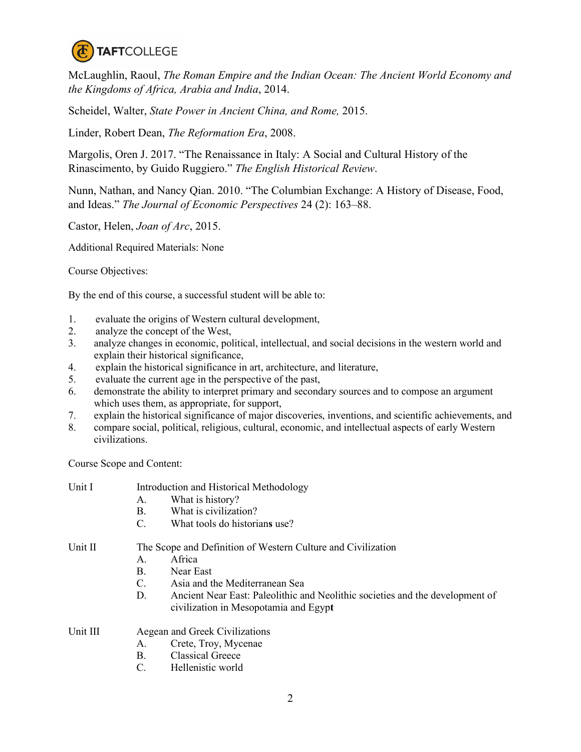

McLaughlin, Raoul, *The Roman Empire and the Indian Ocean: The Ancient World Economy and the Kingdoms of Africa, Arabia and India*, 2014.

Scheidel, Walter, *State Power in Ancient China, and Rome,* 2015.

Linder, Robert Dean, *The Reformation Era*, 2008.

Margolis, Oren J. 2017. "The Renaissance in Italy: A Social and Cultural History of the Rinascimento, by Guido Ruggiero." *The English Historical Review*.

Nunn, Nathan, and Nancy Qian. 2010. "The Columbian Exchange: A History of Disease, Food, and Ideas." *The Journal of Economic Perspectives* 24 (2): 163–88.

Castor, Helen, *Joan of Arc*, 2015.

Additional Required Materials: None

Course Objectives:

By the end of this course, a successful student will be able to:

- 1. evaluate the origins of Western cultural development,
- 2. analyze the concept of the West,
- 3. analyze changes in economic, political, intellectual, and social decisions in the western world and explain their historical significance,
- 4. explain the historical significance in art, architecture, and literature,
- 5. evaluate the current age in the perspective of the past,
- 6. demonstrate the ability to interpret primary and secondary sources and to compose an argument which uses them, as appropriate, for support,
- 7. explain the historical significance of major discoveries, inventions, and scientific achievements, and
- 8. compare social, political, religious, cultural, economic, and intellectual aspects of early Western civilizations.

Course Scope and Content:

| Unit I   | Introduction and Historical Methodology                      |                                                                               |  |
|----------|--------------------------------------------------------------|-------------------------------------------------------------------------------|--|
|          | A.                                                           | What is history?                                                              |  |
|          | В.                                                           | What is civilization?                                                         |  |
|          | C.                                                           | What tools do historians use?                                                 |  |
| Unit II  | The Scope and Definition of Western Culture and Civilization |                                                                               |  |
|          | А.                                                           | Africa                                                                        |  |
|          | В.                                                           | Near East                                                                     |  |
|          | C.                                                           | Asia and the Mediterranean Sea                                                |  |
|          | D.                                                           | Ancient Near East: Paleolithic and Neolithic societies and the development of |  |
|          |                                                              | civilization in Mesopotamia and Egypt                                         |  |
| Unit III |                                                              | Aegean and Greek Civilizations                                                |  |
|          | А.                                                           | Crete, Troy, Mycenae                                                          |  |
|          | Β.                                                           | <b>Classical Greece</b>                                                       |  |
|          | C.                                                           | Hellenistic world                                                             |  |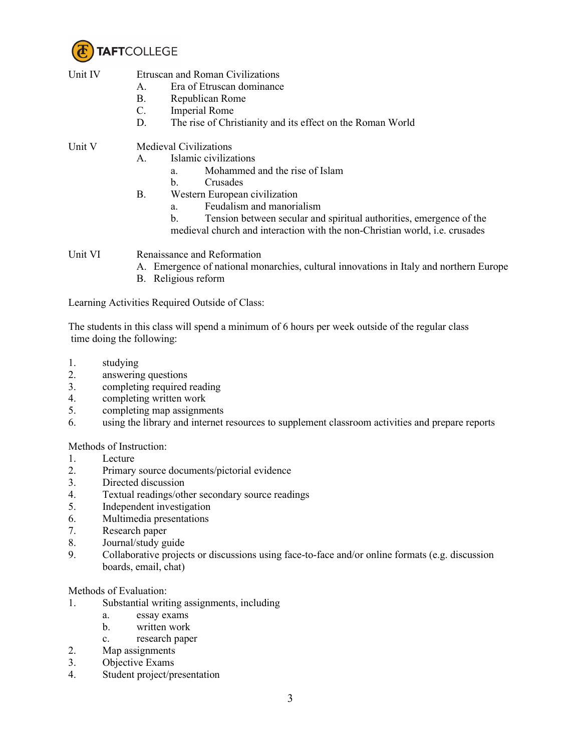

| Unit IV | Etru |
|---------|------|
|         |      |

- scan and Roman Civilizations A. Era of Etruscan dominance
	- B. Republican Rome
	- C. Imperial Rome
	- D. The rise of Christianity and its effect on the Roman World

## Unit V Medieval Civilizations

- A. Islamic civilizations
	- a. Mohammed and the rise of Islam
	- b. Crusades
- B. Western European civilization
	- a. Feudalism and manorialism
	- b. Tension between secular and spiritual authorities, emergence of the
	- medieval church and interaction with the non-Christian world, i.e. crusades

Unit VI Renaissance and Reformation

- A. Emergence of national monarchies, cultural innovations in Italy and northern Europe
- B. Religious reform

Learning Activities Required Outside of Class:

The students in this class will spend a minimum of 6 hours per week outside of the regular class time doing the following:

- 1. studying
- 2. answering questions
- 3. completing required reading
- 4. completing written work
- 5. completing map assignments
- 6. using the library and internet resources to supplement classroom activities and prepare reports

Methods of Instruction:

- 1. Lecture
- 2. Primary source documents/pictorial evidence
- 3. Directed discussion
- 4. Textual readings/other secondary source readings
- 5. Independent investigation
- 6. Multimedia presentations
- 7. Research paper
- 8. Journal/study guide
- 9. Collaborative projects or discussions using face-to-face and/or online formats (e.g. discussion boards, email, chat)

Methods of Evaluation:

- 1. Substantial writing assignments, including
	- a. essay exams
	- b. written work
	- c. research paper
- 2. Map assignments
- 3. Objective Exams
- 4. Student project/presentation